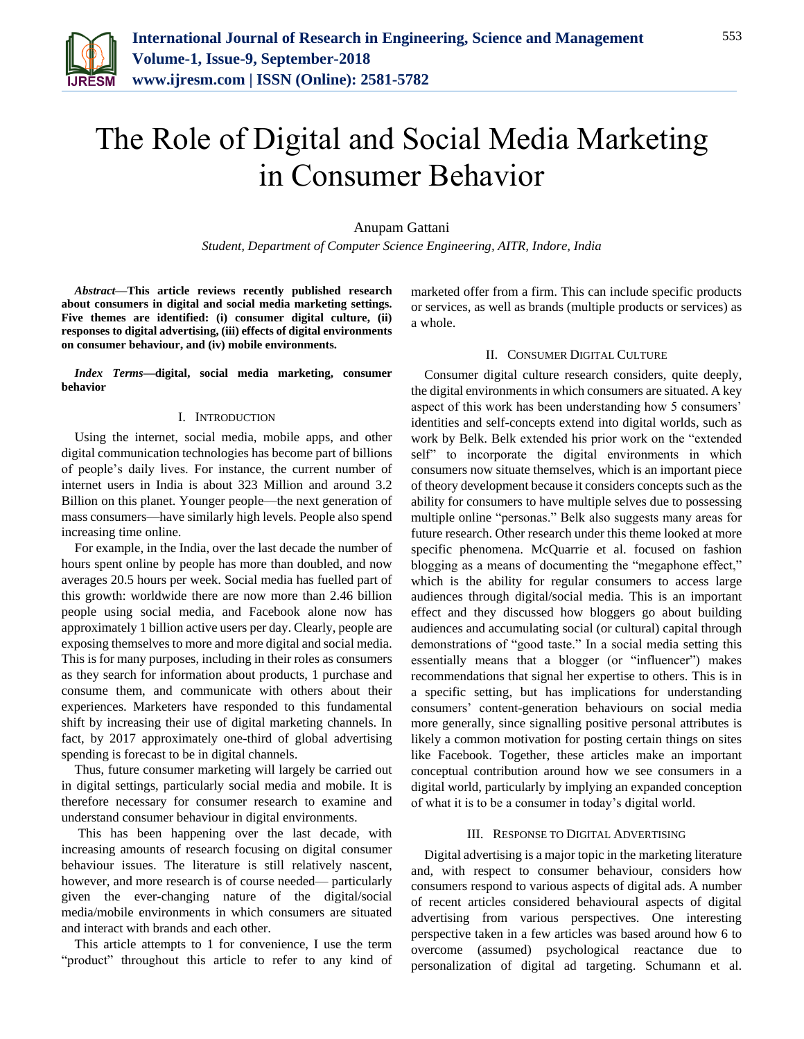

# The Role of Digital and Social Media Marketing in Consumer Behavior

# Anupam Gattani

*Student, Department of Computer Science Engineering, AITR, Indore, India*

*Abstract***—This article reviews recently published research about consumers in digital and social media marketing settings. Five themes are identified: (i) consumer digital culture, (ii) responses to digital advertising, (iii) effects of digital environments on consumer behaviour, and (iv) mobile environments.**

*Index Terms***—digital, social media marketing, consumer behavior**

## I. INTRODUCTION

Using the internet, social media, mobile apps, and other digital communication technologies has become part of billions of people's daily lives. For instance, the current number of internet users in India is about 323 Million and around 3.2 Billion on this planet. Younger people—the next generation of mass consumers—have similarly high levels. People also spend increasing time online.

For example, in the India, over the last decade the number of hours spent online by people has more than doubled, and now averages 20.5 hours per week. Social media has fuelled part of this growth: worldwide there are now more than 2.46 billion people using social media, and Facebook alone now has approximately 1 billion active users per day. Clearly, people are exposing themselves to more and more digital and social media. This is for many purposes, including in their roles as consumers as they search for information about products, 1 purchase and consume them, and communicate with others about their experiences. Marketers have responded to this fundamental shift by increasing their use of digital marketing channels. In fact, by 2017 approximately one-third of global advertising spending is forecast to be in digital channels.

Thus, future consumer marketing will largely be carried out in digital settings, particularly social media and mobile. It is therefore necessary for consumer research to examine and understand consumer behaviour in digital environments.

This has been happening over the last decade, with increasing amounts of research focusing on digital consumer behaviour issues. The literature is still relatively nascent, however, and more research is of course needed— particularly given the ever-changing nature of the digital/social media/mobile environments in which consumers are situated and interact with brands and each other.

This article attempts to 1 for convenience, I use the term "product" throughout this article to refer to any kind of marketed offer from a firm. This can include specific products or services, as well as brands (multiple products or services) as a whole.

## II. CONSUMER DIGITAL CULTURE

Consumer digital culture research considers, quite deeply, the digital environments in which consumers are situated. A key aspect of this work has been understanding how 5 consumers' identities and self-concepts extend into digital worlds, such as work by Belk. Belk extended his prior work on the "extended self" to incorporate the digital environments in which consumers now situate themselves, which is an important piece of theory development because it considers concepts such as the ability for consumers to have multiple selves due to possessing multiple online "personas." Belk also suggests many areas for future research. Other research under this theme looked at more specific phenomena. McQuarrie et al. focused on fashion blogging as a means of documenting the "megaphone effect," which is the ability for regular consumers to access large audiences through digital/social media. This is an important effect and they discussed how bloggers go about building audiences and accumulating social (or cultural) capital through demonstrations of "good taste." In a social media setting this essentially means that a blogger (or "influencer") makes recommendations that signal her expertise to others. This is in a specific setting, but has implications for understanding consumers' content-generation behaviours on social media more generally, since signalling positive personal attributes is likely a common motivation for posting certain things on sites like Facebook. Together, these articles make an important conceptual contribution around how we see consumers in a digital world, particularly by implying an expanded conception of what it is to be a consumer in today's digital world.

#### III. RESPONSE TO DIGITAL ADVERTISING

Digital advertising is a major topic in the marketing literature and, with respect to consumer behaviour, considers how consumers respond to various aspects of digital ads. A number of recent articles considered behavioural aspects of digital advertising from various perspectives. One interesting perspective taken in a few articles was based around how 6 to overcome (assumed) psychological reactance due to personalization of digital ad targeting. Schumann et al.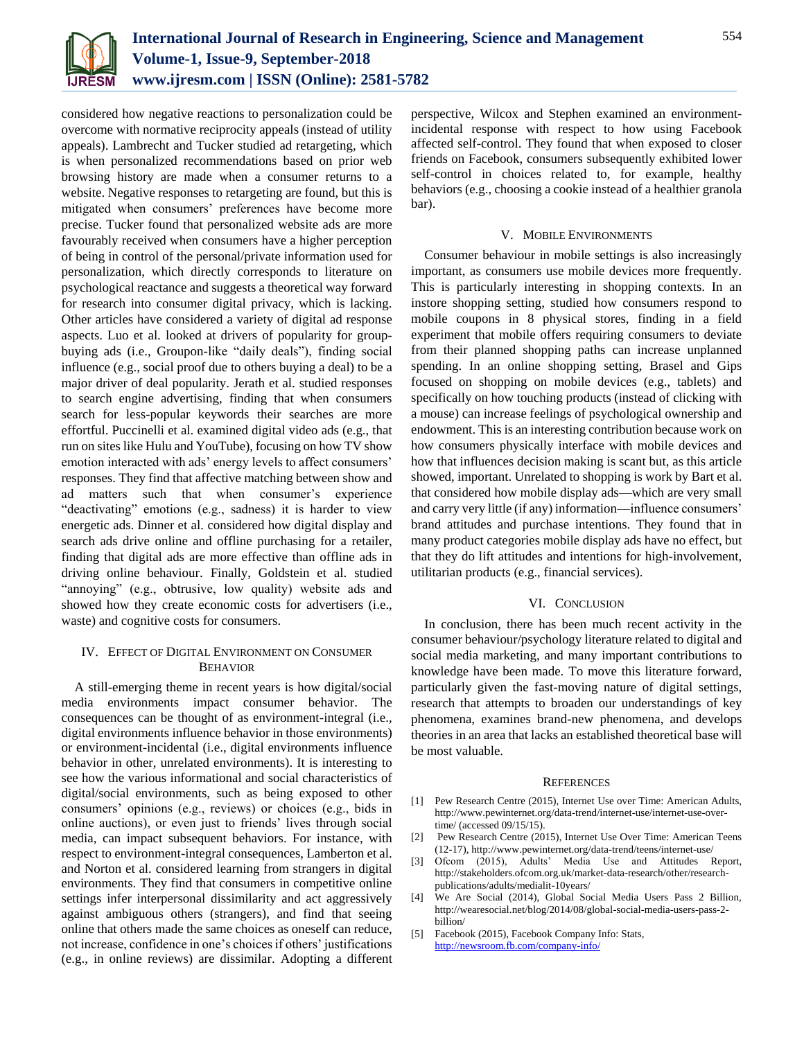

considered how negative reactions to personalization could be overcome with normative reciprocity appeals (instead of utility appeals). Lambrecht and Tucker studied ad retargeting, which is when personalized recommendations based on prior web browsing history are made when a consumer returns to a website. Negative responses to retargeting are found, but this is mitigated when consumers' preferences have become more precise. Tucker found that personalized website ads are more favourably received when consumers have a higher perception of being in control of the personal/private information used for personalization, which directly corresponds to literature on psychological reactance and suggests a theoretical way forward for research into consumer digital privacy, which is lacking. Other articles have considered a variety of digital ad response aspects. Luo et al. looked at drivers of popularity for groupbuying ads (i.e., Groupon-like "daily deals"), finding social influence (e.g., social proof due to others buying a deal) to be a major driver of deal popularity. Jerath et al. studied responses to search engine advertising, finding that when consumers search for less-popular keywords their searches are more effortful. Puccinelli et al. examined digital video ads (e.g., that run on sites like Hulu and YouTube), focusing on how TV show emotion interacted with ads' energy levels to affect consumers' responses. They find that affective matching between show and ad matters such that when consumer's experience "deactivating" emotions (e.g., sadness) it is harder to view energetic ads. Dinner et al. considered how digital display and search ads drive online and offline purchasing for a retailer, finding that digital ads are more effective than offline ads in driving online behaviour. Finally, Goldstein et al. studied "annoying" (e.g., obtrusive, low quality) website ads and showed how they create economic costs for advertisers (i.e., waste) and cognitive costs for consumers.

# IV. EFFECT OF DIGITAL ENVIRONMENT ON CONSUMER BEHAVIOR

A still-emerging theme in recent years is how digital/social media environments impact consumer behavior. The consequences can be thought of as environment-integral (i.e., digital environments influence behavior in those environments) or environment-incidental (i.e., digital environments influence behavior in other, unrelated environments). It is interesting to see how the various informational and social characteristics of digital/social environments, such as being exposed to other consumers' opinions (e.g., reviews) or choices (e.g., bids in online auctions), or even just to friends' lives through social media, can impact subsequent behaviors. For instance, with respect to environment-integral consequences, Lamberton et al. and Norton et al. considered learning from strangers in digital environments. They find that consumers in competitive online settings infer interpersonal dissimilarity and act aggressively against ambiguous others (strangers), and find that seeing online that others made the same choices as oneself can reduce, not increase, confidence in one's choices if others' justifications (e.g., in online reviews) are dissimilar. Adopting a different perspective, Wilcox and Stephen examined an environmentincidental response with respect to how using Facebook affected self-control. They found that when exposed to closer friends on Facebook, consumers subsequently exhibited lower self-control in choices related to, for example, healthy behaviors (e.g., choosing a cookie instead of a healthier granola bar).

## V. MOBILE ENVIRONMENTS

Consumer behaviour in mobile settings is also increasingly important, as consumers use mobile devices more frequently. This is particularly interesting in shopping contexts. In an instore shopping setting, studied how consumers respond to mobile coupons in 8 physical stores, finding in a field experiment that mobile offers requiring consumers to deviate from their planned shopping paths can increase unplanned spending. In an online shopping setting, Brasel and Gips focused on shopping on mobile devices (e.g., tablets) and specifically on how touching products (instead of clicking with a mouse) can increase feelings of psychological ownership and endowment. This is an interesting contribution because work on how consumers physically interface with mobile devices and how that influences decision making is scant but, as this article showed, important. Unrelated to shopping is work by Bart et al. that considered how mobile display ads—which are very small and carry very little (if any) information—influence consumers' brand attitudes and purchase intentions. They found that in many product categories mobile display ads have no effect, but that they do lift attitudes and intentions for high-involvement, utilitarian products (e.g., financial services).

## VI. CONCLUSION

In conclusion, there has been much recent activity in the consumer behaviour/psychology literature related to digital and social media marketing, and many important contributions to knowledge have been made. To move this literature forward, particularly given the fast-moving nature of digital settings, research that attempts to broaden our understandings of key phenomena, examines brand-new phenomena, and develops theories in an area that lacks an established theoretical base will be most valuable.

#### **REFERENCES**

- [1] Pew Research Centre (2015), Internet Use over Time: American Adults, http://www.pewinternet.org/data-trend/internet-use/internet-use-overtime/ (accessed 09/15/15).
- [2] Pew Research Centre (2015), Internet Use Over Time: American Teens (12-17), http://www.pewinternet.org/data-trend/teens/internet-use/
- [3] Ofcom (2015), Adults' Media Use and Attitudes Report, http://stakeholders.ofcom.org.uk/market-data-research/other/researchpublications/adults/medialit-10years/
- [4] We Are Social (2014), Global Social Media Users Pass 2 Billion, http://wearesocial.net/blog/2014/08/global-social-media-users-pass-2 billion/
- [5] Facebook (2015), Facebook Company Info: Stats, <http://newsroom.fb.com/company-info/>